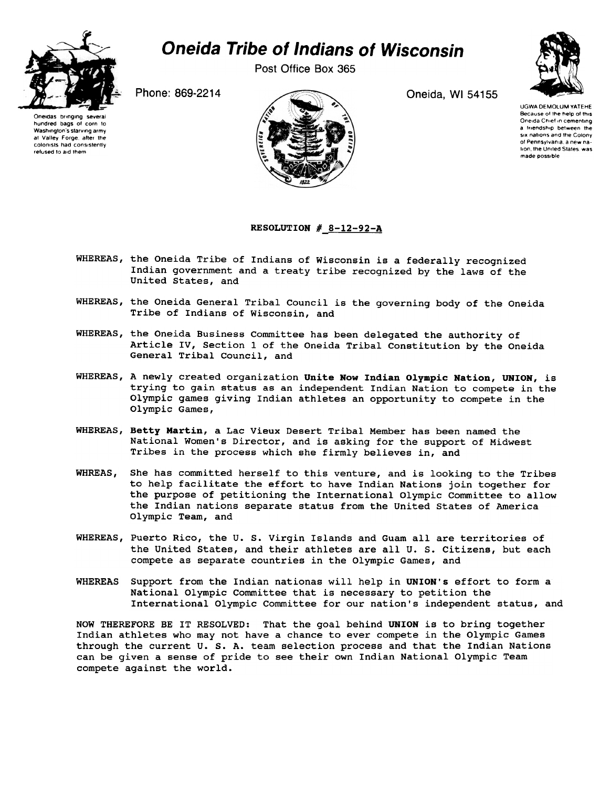

## Oneida Tribe of Indians of Wisconsin

Post Office Box 365

Phone: 869-2214 **Oneida, WI 54155** 



Oneidas bringing several<br>hundred bags of corn to Washington's starving army at Valley Forge, after the<br>colonists had consistently refused to aid them

UGWA DEMOLUM YATEHE Because of the help of this Oneida Chief in cementing a triendship between the six nations and the Colony of Pennsylvania, a new nation, the United States, was made possoble

## RESOLUTION  $#$  8-12-92-A

- WHEREAS, the Oneida Tribe of Indians of Wisconsin is a federally recognized Indian government and a treaty tribe recognized by the laws of the United States, and
- WHEREAS, the Oneida General Tribal Council is the governing body of the Oneida Tribe of Indians of Wisconsin, and
- WHEREAS, the Oneida Business Committee has been delegated the authority of Article IV, Section 1 of the Oneida Tribal Constitution by the Oneida General Tribal Council, and
- WHEREAS, A newly created organization Unite Now Indian Olympic Nation, UNION, is trying to gain status as an independent Indian Nation to compete in the Olympic games giving Indian athletes an opportunity to compete in the Olympic Games,
- WHEREAS, Betty Martin, a Lac Vieux Desert Tribal Member has been named the National Women's Director, and is asking for the support of Midwest Tribes in the process which she firmly believes in, and
- WHREAS, She has committed herself to this venture, and is looking to the Tribes to help facilitate the effort to have Indian Nations join together for the purpose of petitioning the International Olympic Committee to allow the Indian nations separate status from the United States of America Olympic Team, and
- WHEREAS, Puerto Rico, the U. S. Virgin Islands and Guam all are territories of the United States, and their athletes are all U. S. Citizens, but each compete as separate countries in the Olympic Games, and
- WHEREAS Support from the Indian nationas will help in UNION's effort to form a National Olympic Committee that is necessary to petition the International Olympic Committee for our nation's independent status, and

NOW THEREFORE BE IT RESOLVED: That the goal behind UNION is to bring together Indian athletes who may not have a chance to ever compete in the Olympic Games through the current U. S. A. team selection process and that the Indian Nations can be given a sense of pride to see their own Indian National Olympic Team compete against the world.